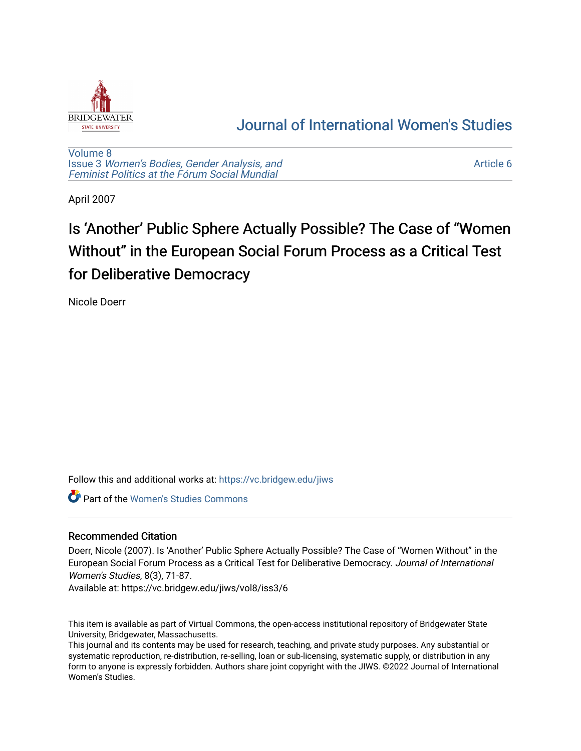

# [Journal of International Women's Studies](https://vc.bridgew.edu/jiws)

[Volume 8](https://vc.bridgew.edu/jiws/vol8) Issue 3 [Women's Bodies, Gender Analysis, and](https://vc.bridgew.edu/jiws/vol8/iss3) [Feminist Politics at the Fórum Social Mundial](https://vc.bridgew.edu/jiws/vol8/iss3)

[Article 6](https://vc.bridgew.edu/jiws/vol8/iss3/6) 

April 2007

# Is 'Another' Public Sphere Actually Possible? The Case of "Women" Without" in the European Social Forum Process as a Critical Test for Deliberative Democracy

Nicole Doerr

Follow this and additional works at: [https://vc.bridgew.edu/jiws](https://vc.bridgew.edu/jiws?utm_source=vc.bridgew.edu%2Fjiws%2Fvol8%2Fiss3%2F6&utm_medium=PDF&utm_campaign=PDFCoverPages)

Part of the [Women's Studies Commons](http://network.bepress.com/hgg/discipline/561?utm_source=vc.bridgew.edu%2Fjiws%2Fvol8%2Fiss3%2F6&utm_medium=PDF&utm_campaign=PDFCoverPages) 

# Recommended Citation

Doerr, Nicole (2007). Is 'Another' Public Sphere Actually Possible? The Case of "Women Without" in the European Social Forum Process as a Critical Test for Deliberative Democracy. Journal of International Women's Studies, 8(3), 71-87.

Available at: https://vc.bridgew.edu/jiws/vol8/iss3/6

This item is available as part of Virtual Commons, the open-access institutional repository of Bridgewater State University, Bridgewater, Massachusetts.

This journal and its contents may be used for research, teaching, and private study purposes. Any substantial or systematic reproduction, re-distribution, re-selling, loan or sub-licensing, systematic supply, or distribution in any form to anyone is expressly forbidden. Authors share joint copyright with the JIWS. ©2022 Journal of International Women's Studies.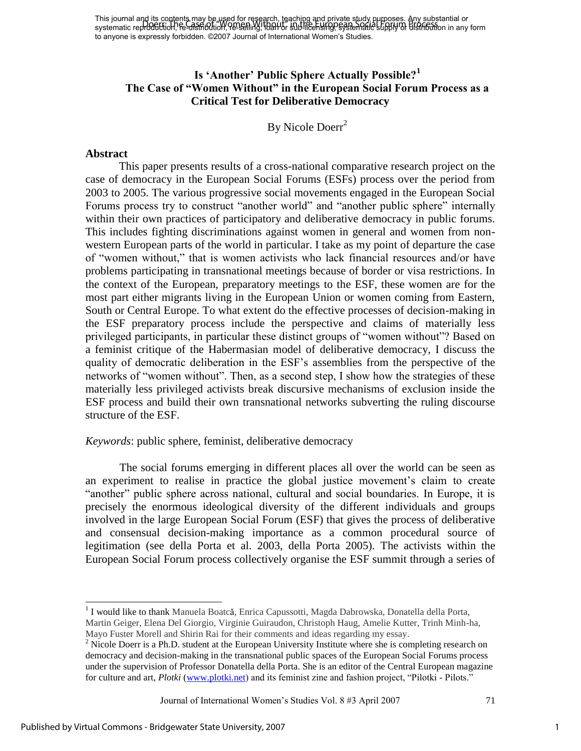# **Is "Another" Public Sphere Actually Possible?<sup>1</sup> The Case of "Women Without" in the European Social Forum Process as a Critical Test for Deliberative Democracy**

By Nicole Doerr<sup>2</sup>

# **Abstract**

This paper presents results of a cross-national comparative research project on the case of democracy in the European Social Forums (ESFs) process over the period from 2003 to 2005. The various progressive social movements engaged in the European Social Forums process try to construct "another world" and "another public sphere" internally within their own practices of participatory and deliberative democracy in public forums. This includes fighting discriminations against women in general and women from nonwestern European parts of the world in particular. I take as my point of departure the case of "women without," that is women activists who lack financial resources and/or have problems participating in transnational meetings because of border or visa restrictions. In the context of the European, preparatory meetings to the ESF, these women are for the most part either migrants living in the European Union or women coming from Eastern, South or Central Europe. To what extent do the effective processes of decision-making in the ESF preparatory process include the perspective and claims of materially less privileged participants, in particular these distinct groups of "women without"? Based on a feminist critique of the Habermasian model of deliberative democracy, I discuss the quality of democratic deliberation in the ESF's assemblies from the perspective of the networks of "women without". Then, as a second step, I show how the strategies of these materially less privileged activists break discursive mechanisms of exclusion inside the ESF process and build their own transnational networks subverting the ruling discourse structure of the ESF.

*Keywords*: public sphere, feminist, deliberative democracy

The social forums emerging in different places all over the world can be seen as an experiment to realise in practice the global justice movement's claim to create "another" public sphere across national, cultural and social boundaries. In Europe, it is precisely the enormous ideological diversity of the different individuals and groups involved in the large European Social Forum (ESF) that gives the process of deliberative and consensual decision-making importance as a common procedural source of legitimation (see della Porta et al. 2003, della Porta 2005). The activists within the European Social Forum process collectively organise the ESF summit through a series of

<sup>1</sup> I would like to thank Manuela Boatcă, Enrica Capussotti, Magda Dabrowska, Donatella della Porta, Martin Geiger, Elena Del Giorgio, Virginie Guiraudon, Christoph Haug, Amelie Kutter, Trinh Minh-ha, Mayo Fuster Morell and Shirin Rai for their comments and ideas regarding my essay.

Journal of International Women's Studies Vol. 8 #3 April 2007 71

<sup>&</sup>lt;sup>2</sup> Nicole Doerr is a Ph.D. student at the European University Institute where she is completing research on democracy and decision-making in the transnational public spaces of the European Social Forums process under the supervision of Professor Donatella della Porta. She is an editor of the Central European magazine for culture and art, *Plotki* [\(www.plotki.net\)](http://www.plotki.net/) and its feminist zine and fashion project, "Pilotki - Pilots."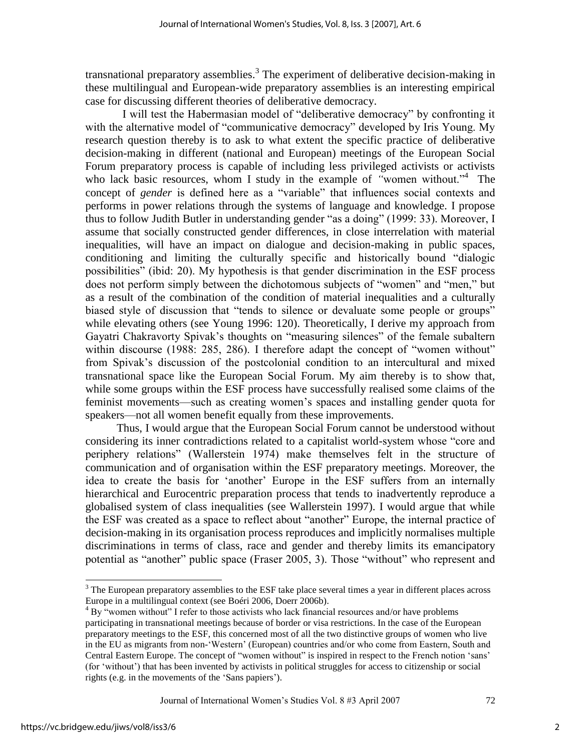transnational preparatory assemblies.<sup>3</sup> The experiment of deliberative decision-making in these multilingual and European-wide preparatory assemblies is an interesting empirical case for discussing different theories of deliberative democracy.

I will test the Habermasian model of "deliberative democracy" by confronting it with the alternative model of "communicative democracy" developed by Iris Young. My research question thereby is to ask to what extent the specific practice of deliberative decision-making in different (national and European) meetings of the European Social Forum preparatory process is capable of including less privileged activists or activists who lack basic resources, whom I study in the example of "women without."<sup>4</sup> The concept of *gender* is defined here as a "variable" that influences social contexts and performs in power relations through the systems of language and knowledge. I propose thus to follow Judith Butler in understanding gender "as a doing" (1999: 33). Moreover, I assume that socially constructed gender differences, in close interrelation with material inequalities, will have an impact on dialogue and decision-making in public spaces, conditioning and limiting the culturally specific and historically bound "dialogic possibilities" (ibid: 20). My hypothesis is that gender discrimination in the ESF process does not perform simply between the dichotomous subjects of "women" and "men," but as a result of the combination of the condition of material inequalities and a culturally biased style of discussion that "tends to silence or devaluate some people or groups" while elevating others (see Young 1996: 120). Theoretically, I derive my approach from Gayatri Chakravorty Spivak's thoughts on "measuring silences" of the female subaltern within discourse  $(1988: 285, 286)$ . I therefore adapt the concept of "women without" from Spivak's discussion of the postcolonial condition to an intercultural and mixed transnational space like the European Social Forum. My aim thereby is to show that, while some groups within the ESF process have successfully realised some claims of the feminist movements—such as creating women's spaces and installing gender quota for speakers—not all women benefit equally from these improvements.

 Thus, I would argue that the European Social Forum cannot be understood without considering its inner contradictions related to a capitalist world-system whose "core and periphery relations" (Wallerstein 1974) make themselves felt in the structure of communication and of organisation within the ESF preparatory meetings. Moreover, the idea to create the basis for 'another' Europe in the ESF suffers from an internally hierarchical and Eurocentric preparation process that tends to inadvertently reproduce a globalised system of class inequalities (see Wallerstein 1997). I would argue that while the ESF was created as a space to reflect about "another" Europe, the internal practice of decision-making in its organisation process reproduces and implicitly normalises multiple discriminations in terms of class, race and gender and thereby limits its emancipatory potential as "another" public space (Fraser 2005, 3). Those "without" who represent and

Journal of International Women's Studies Vol. 8 #3 April 2007 72

l

<sup>&</sup>lt;sup>3</sup> The European preparatory assemblies to the ESF take place several times a year in different places across Europe in a multilingual context (see Boéri 2006, Doerr 2006b).

 $4 By$  "women without" I refer to those activists who lack financial resources and/or have problems participating in transnational meetings because of border or visa restrictions. In the case of the European preparatory meetings to the ESF, this concerned most of all the two distinctive groups of women who live in the EU as migrants from non-‗Western' (European) countries and/or who come from Eastern, South and Central Eastern Europe. The concept of "women without" is inspired in respect to the French notion 'sans' (for ‗without') that has been invented by activists in political struggles for access to citizenship or social rights (e.g. in the movements of the 'Sans papiers').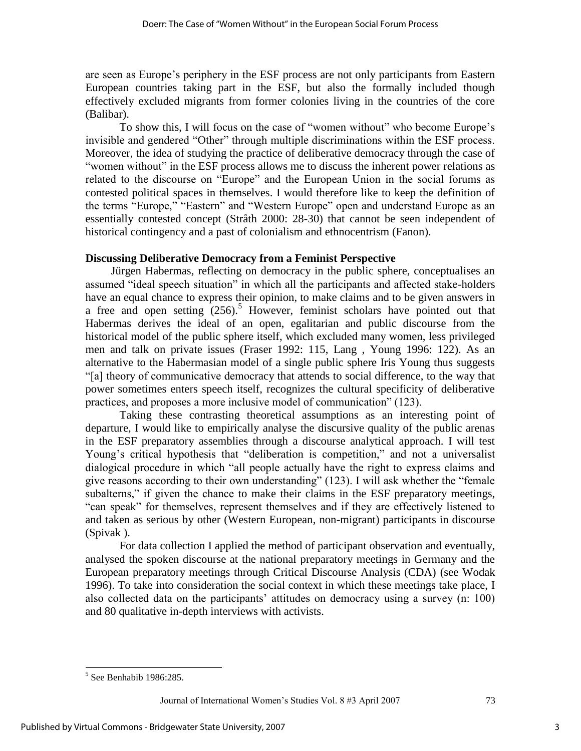are seen as Europe's periphery in the ESF process are not only participants from Eastern European countries taking part in the ESF, but also the formally included though effectively excluded migrants from former colonies living in the countries of the core (Balibar).

To show this, I will focus on the case of "women without" who become Europe's invisible and gendered "Other" through multiple discriminations within the ESF process. Moreover, the idea of studying the practice of deliberative democracy through the case of "women without" in the ESF process allows me to discuss the inherent power relations as related to the discourse on "Europe" and the European Union in the social forums as contested political spaces in themselves. I would therefore like to keep the definition of the terms "Europe," "Eastern" and "Western Europe" open and understand Europe as an essentially contested concept (Stråth 2000: 28-30) that cannot be seen independent of historical contingency and a past of colonialism and ethnocentrism (Fanon).

# **Discussing Deliberative Democracy from a Feminist Perspective**

 Jürgen Habermas, reflecting on democracy in the public sphere, conceptualises an assumed "ideal speech situation" in which all the participants and affected stake-holders have an equal chance to express their opinion, to make claims and to be given answers in a free and open setting  $(256)$ .<sup>5</sup> However, feminist scholars have pointed out that Habermas derives the ideal of an open, egalitarian and public discourse from the historical model of the public sphere itself, which excluded many women, less privileged men and talk on private issues (Fraser 1992: 115, Lang , Young 1996: 122). As an alternative to the Habermasian model of a single public sphere Iris Young thus suggests ―[a] theory of communicative democracy that attends to social difference, to the way that power sometimes enters speech itself, recognizes the cultural specificity of deliberative practices, and proposes a more inclusive model of communication" (123).

Taking these contrasting theoretical assumptions as an interesting point of departure, I would like to empirically analyse the discursive quality of the public arenas in the ESF preparatory assemblies through a discourse analytical approach. I will test Young's critical hypothesis that "deliberation is competition," and not a universalist dialogical procedure in which "all people actually have the right to express claims and give reasons according to their own understanding" (123). I will ask whether the "female subalterns," if given the chance to make their claims in the ESF preparatory meetings, ―can speak‖ for themselves, represent themselves and if they are effectively listened to and taken as serious by other (Western European, non-migrant) participants in discourse (Spivak ).

For data collection I applied the method of participant observation and eventually, analysed the spoken discourse at the national preparatory meetings in Germany and the European preparatory meetings through Critical Discourse Analysis (CDA) (see Wodak 1996). To take into consideration the social context in which these meetings take place, I also collected data on the participants' attitudes on democracy using a survey (n: 100) and 80 qualitative in-depth interviews with activists.

 $\overline{a}$ 

Journal of International Women's Studies Vol. 8 #3 April 2007 73

 $<sup>5</sup>$  See Benhabib 1986:285.</sup>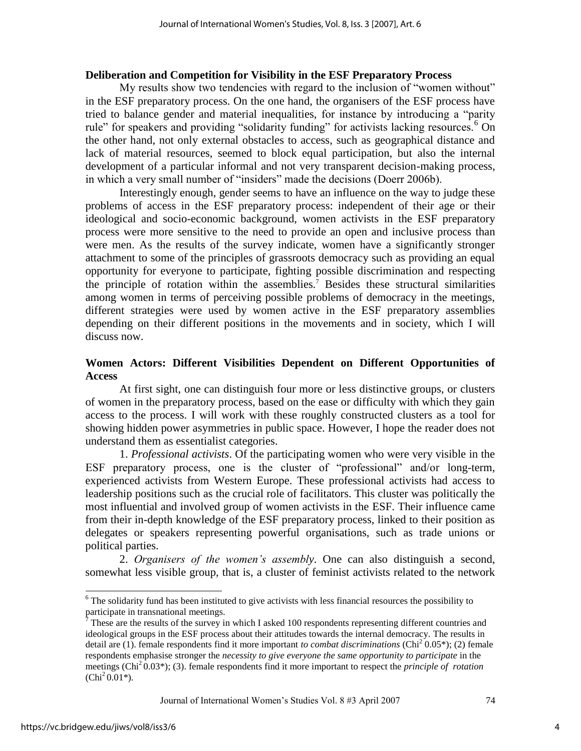#### **Deliberation and Competition for Visibility in the ESF Preparatory Process**

My results show two tendencies with regard to the inclusion of "women without" in the ESF preparatory process. On the one hand, the organisers of the ESF process have tried to balance gender and material inequalities, for instance by introducing a "parity" rule" for speakers and providing "solidarity funding" for activists lacking resources.<sup>6</sup> On the other hand, not only external obstacles to access, such as geographical distance and lack of material resources, seemed to block equal participation, but also the internal development of a particular informal and not very transparent decision-making process, in which a very small number of "insiders" made the decisions (Doerr 2006b).

Interestingly enough, gender seems to have an influence on the way to judge these problems of access in the ESF preparatory process: independent of their age or their ideological and socio-economic background, women activists in the ESF preparatory process were more sensitive to the need to provide an open and inclusive process than were men. As the results of the survey indicate, women have a significantly stronger attachment to some of the principles of grassroots democracy such as providing an equal opportunity for everyone to participate, fighting possible discrimination and respecting the principle of rotation within the assemblies.<sup>7</sup> Besides these structural similarities among women in terms of perceiving possible problems of democracy in the meetings, different strategies were used by women active in the ESF preparatory assemblies depending on their different positions in the movements and in society, which I will discuss now.

#### **Women Actors: Different Visibilities Dependent on Different Opportunities of Access**

At first sight, one can distinguish four more or less distinctive groups, or clusters of women in the preparatory process, based on the ease or difficulty with which they gain access to the process. I will work with these roughly constructed clusters as a tool for showing hidden power asymmetries in public space. However, I hope the reader does not understand them as essentialist categories.

1. *Professional activists*. Of the participating women who were very visible in the ESF preparatory process, one is the cluster of "professional" and/or long-term, experienced activists from Western Europe. These professional activists had access to leadership positions such as the crucial role of facilitators. This cluster was politically the most influential and involved group of women activists in the ESF. Their influence came from their in-depth knowledge of the ESF preparatory process, linked to their position as delegates or speakers representing powerful organisations, such as trade unions or political parties.

2. *Organisers of the women's assembly*. One can also distinguish a second, somewhat less visible group, that is, a cluster of feminist activists related to the network

<sup>&</sup>lt;sup>6</sup> The solidarity fund has been instituted to give activists with less financial resources the possibility to <sup>6</sup> participate in transnational meetings.

 $\degree$  These are the results of the survey in which I asked 100 respondents representing different countries and ideological groups in the ESF process about their attitudes towards the internal democracy. The results in detail are (1). female respondents find it more important *to combat discriminations* (Chi<sup>2</sup> 0.05<sup>\*</sup>); (2) female respondents emphasise stronger the *necessity to give everyone the same opportunity to participate* in the meetings (Chi<sup>2</sup> 0.03<sup>\*</sup>); (3). female respondents find it more important to respect the *principle* of *rotation*  $(Chi<sup>2</sup> 0.01<sup>*</sup>)$ .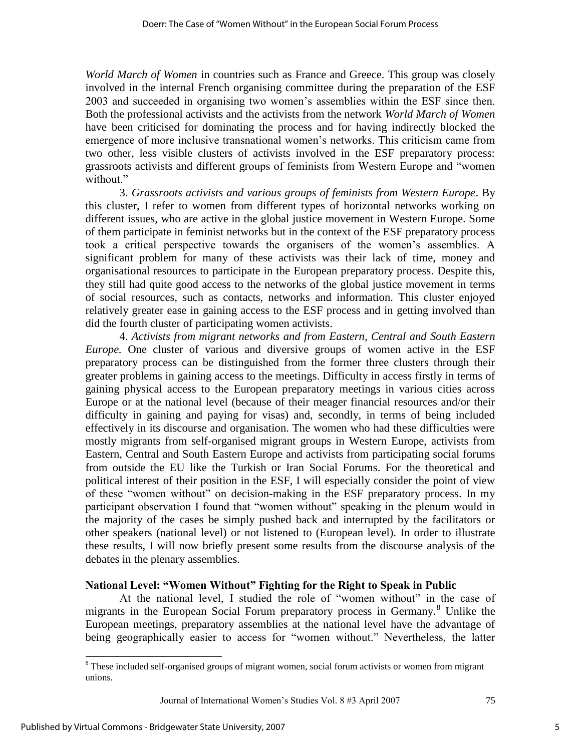*World March of Women* in countries such as France and Greece. This group was closely involved in the internal French organising committee during the preparation of the ESF 2003 and succeeded in organising two women's assemblies within the ESF since then. Both the professional activists and the activists from the network *World March of Women* have been criticised for dominating the process and for having indirectly blocked the emergence of more inclusive transnational women's networks. This criticism came from two other, less visible clusters of activists involved in the ESF preparatory process: grassroots activists and different groups of feminists from Western Europe and "women without."

3. *Grassroots activists and various groups of feminists from Western Europe*. By this cluster, I refer to women from different types of horizontal networks working on different issues, who are active in the global justice movement in Western Europe. Some of them participate in feminist networks but in the context of the ESF preparatory process took a critical perspective towards the organisers of the women's assemblies. A significant problem for many of these activists was their lack of time, money and organisational resources to participate in the European preparatory process. Despite this, they still had quite good access to the networks of the global justice movement in terms of social resources, such as contacts, networks and information. This cluster enjoyed relatively greater ease in gaining access to the ESF process and in getting involved than did the fourth cluster of participating women activists.

4. *Activists from migrant networks and from Eastern, Central and South Eastern Europe.* One cluster of various and diversive groups of women active in the ESF preparatory process can be distinguished from the former three clusters through their greater problems in gaining access to the meetings. Difficulty in access firstly in terms of gaining physical access to the European preparatory meetings in various cities across Europe or at the national level (because of their meager financial resources and/or their difficulty in gaining and paying for visas) and, secondly, in terms of being included effectively in its discourse and organisation. The women who had these difficulties were mostly migrants from self-organised migrant groups in Western Europe, activists from Eastern, Central and South Eastern Europe and activists from participating social forums from outside the EU like the Turkish or Iran Social Forums. For the theoretical and political interest of their position in the ESF, I will especially consider the point of view of these "women without" on decision-making in the ESF preparatory process. In my participant observation I found that "women without" speaking in the plenum would in the majority of the cases be simply pushed back and interrupted by the facilitators or other speakers (national level) or not listened to (European level). In order to illustrate these results, I will now briefly present some results from the discourse analysis of the debates in the plenary assemblies.

# **National Level: "Women Without" Fighting for the Right to Speak in Public**

At the national level, I studied the role of "women without" in the case of migrants in the European Social Forum preparatory process in Germany.<sup>8</sup> Unlike the European meetings, preparatory assemblies at the national level have the advantage of being geographically easier to access for "women without." Nevertheless, the latter

<sup>&</sup>lt;sup>8</sup> These included self-organised groups of migrant women, social forum activists or women from migrant unions.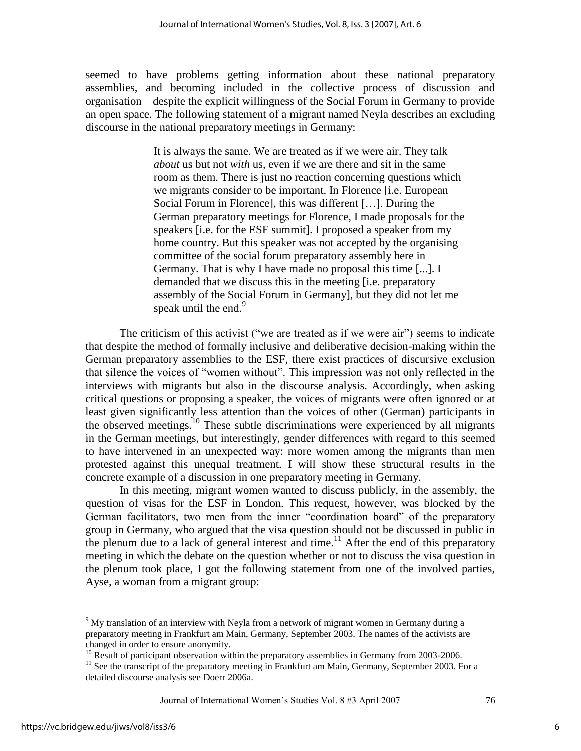seemed to have problems getting information about these national preparatory assemblies, and becoming included in the collective process of discussion and organisation—despite the explicit willingness of the Social Forum in Germany to provide an open space. The following statement of a migrant named Neyla describes an excluding discourse in the national preparatory meetings in Germany:

> It is always the same. We are treated as if we were air. They talk *about* us but not *with* us, even if we are there and sit in the same room as them. There is just no reaction concerning questions which we migrants consider to be important. In Florence [i.e. European Social Forum in Florence], this was different […]. During the German preparatory meetings for Florence, I made proposals for the speakers [i.e. for the ESF summit]. I proposed a speaker from my home country. But this speaker was not accepted by the organising committee of the social forum preparatory assembly here in Germany. That is why I have made no proposal this time [...]. I demanded that we discuss this in the meeting [i.e. preparatory assembly of the Social Forum in Germany], but they did not let me speak until the end.<sup>9</sup>

The criticism of this activist ("we are treated as if we were air") seems to indicate that despite the method of formally inclusive and deliberative decision-making within the German preparatory assemblies to the ESF, there exist practices of discursive exclusion that silence the voices of "women without". This impression was not only reflected in the interviews with migrants but also in the discourse analysis. Accordingly, when asking critical questions or proposing a speaker, the voices of migrants were often ignored or at least given significantly less attention than the voices of other (German) participants in the observed meetings.<sup>10</sup> These subtle discriminations were experienced by all migrants in the German meetings, but interestingly, gender differences with regard to this seemed to have intervened in an unexpected way: more women among the migrants than men protested against this unequal treatment. I will show these structural results in the concrete example of a discussion in one preparatory meeting in Germany.

In this meeting, migrant women wanted to discuss publicly, in the assembly, the question of visas for the ESF in London. This request, however, was blocked by the German facilitators, two men from the inner "coordination board" of the preparatory group in Germany, who argued that the visa question should not be discussed in public in the plenum due to a lack of general interest and time.<sup>11</sup> After the end of this preparatory meeting in which the debate on the question whether or not to discuss the visa question in the plenum took place, I got the following statement from one of the involved parties, Ayse, a woman from a migrant group:

Journal of International Women's Studies Vol. 8 #3 April 2007 76

<sup>&</sup>lt;sup>9</sup> My translation of an interview with Neyla from a network of migrant women in Germany during a preparatory meeting in Frankfurt am Main, Germany, September 2003. The names of the activists are changed in order to ensure anonymity.

<sup>&</sup>lt;sup>10</sup> Result of participant observation within the preparatory assemblies in Germany from 2003-2006.

<sup>&</sup>lt;sup>11</sup> See the transcript of the preparatory meeting in Frankfurt am Main, Germany, September 2003. For a detailed discourse analysis see Doerr 2006a.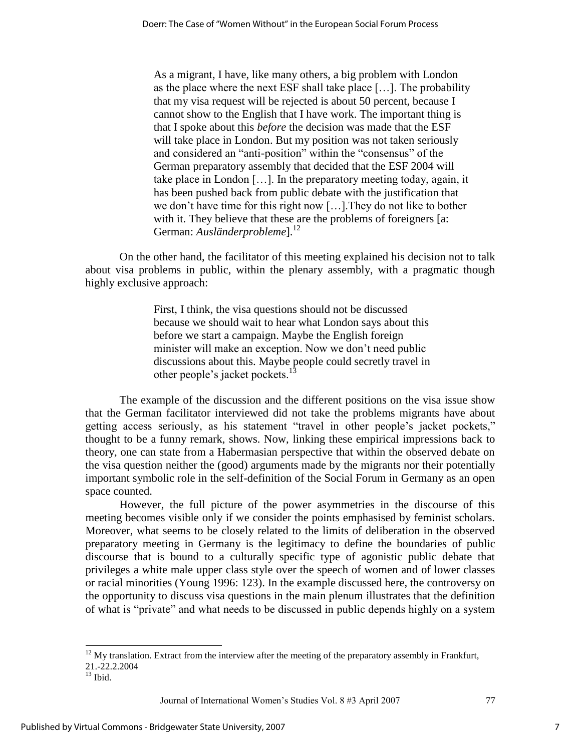As a migrant, I have, like many others, a big problem with London as the place where the next ESF shall take place […]. The probability that my visa request will be rejected is about 50 percent, because I cannot show to the English that I have work. The important thing is that I spoke about this *before* the decision was made that the ESF will take place in London. But my position was not taken seriously and considered an "anti-position" within the "consensus" of the German preparatory assembly that decided that the ESF 2004 will take place in London […]. In the preparatory meeting today, again, it has been pushed back from public debate with the justification that we don't have time for this right now […].They do not like to bother with it. They believe that these are the problems of foreigners [a: German: Ausländerprobleme].<sup>12</sup>

On the other hand, the facilitator of this meeting explained his decision not to talk about visa problems in public, within the plenary assembly, with a pragmatic though highly exclusive approach:

> First, I think, the visa questions should not be discussed because we should wait to hear what London says about this before we start a campaign. Maybe the English foreign minister will make an exception. Now we don't need public discussions about this. Maybe people could secretly travel in other people's jacket pockets.<sup>13</sup>

The example of the discussion and the different positions on the visa issue show that the German facilitator interviewed did not take the problems migrants have about getting access seriously, as his statement "travel in other people's jacket pockets," thought to be a funny remark, shows. Now, linking these empirical impressions back to theory, one can state from a Habermasian perspective that within the observed debate on the visa question neither the (good) arguments made by the migrants nor their potentially important symbolic role in the self-definition of the Social Forum in Germany as an open space counted.

However, the full picture of the power asymmetries in the discourse of this meeting becomes visible only if we consider the points emphasised by feminist scholars. Moreover, what seems to be closely related to the limits of deliberation in the observed preparatory meeting in Germany is the legitimacy to define the boundaries of public discourse that is bound to a culturally specific type of agonistic public debate that privileges a white male upper class style over the speech of women and of lower classes or racial minorities (Young 1996: 123). In the example discussed here, the controversy on the opportunity to discuss visa questions in the main plenum illustrates that the definition of what is "private" and what needs to be discussed in public depends highly on a system

l

 $12$  My translation. Extract from the interview after the meeting of the preparatory assembly in Frankfurt, 21.-22.2.2004

 $13$  Ibid.

Journal of International Women's Studies Vol. 8 #3 April 2007 77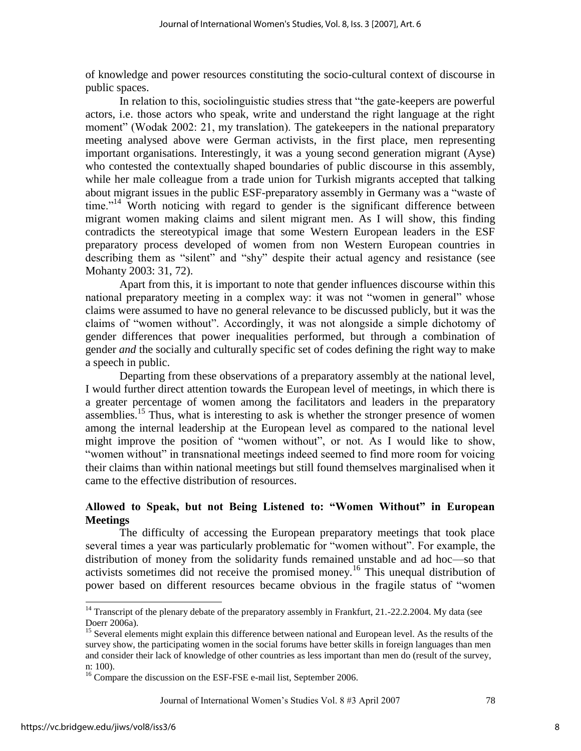of knowledge and power resources constituting the socio-cultural context of discourse in public spaces.

In relation to this, sociolinguistic studies stress that "the gate-keepers are powerful actors, i.e. those actors who speak, write and understand the right language at the right moment" (Wodak 2002: 21, my translation). The gatekeepers in the national preparatory meeting analysed above were German activists, in the first place, men representing important organisations. Interestingly, it was a young second generation migrant (Ayse) who contested the contextually shaped boundaries of public discourse in this assembly, while her male colleague from a trade union for Turkish migrants accepted that talking about migrant issues in the public ESF-preparatory assembly in Germany was a "waste of  $time.^{14}$  Worth noticing with regard to gender is the significant difference between migrant women making claims and silent migrant men. As I will show, this finding contradicts the stereotypical image that some Western European leaders in the ESF preparatory process developed of women from non Western European countries in describing them as "silent" and "shy" despite their actual agency and resistance (see Mohanty 2003: 31, 72).

Apart from this, it is important to note that gender influences discourse within this national preparatory meeting in a complex way: it was not "women in general" whose claims were assumed to have no general relevance to be discussed publicly, but it was the claims of "women without". Accordingly, it was not alongside a simple dichotomy of gender differences that power inequalities performed, but through a combination of gender *and* the socially and culturally specific set of codes defining the right way to make a speech in public.

Departing from these observations of a preparatory assembly at the national level, I would further direct attention towards the European level of meetings, in which there is a greater percentage of women among the facilitators and leaders in the preparatory assemblies.<sup>15</sup> Thus, what is interesting to ask is whether the stronger presence of women among the internal leadership at the European level as compared to the national level might improve the position of "women without", or not. As I would like to show, "women without" in transnational meetings indeed seemed to find more room for voicing their claims than within national meetings but still found themselves marginalised when it came to the effective distribution of resources.

# **Allowed to Speak, but not Being Listened to: "Women Without" in European Meetings**

The difficulty of accessing the European preparatory meetings that took place several times a year was particularly problematic for "women without". For example, the distribution of money from the solidarity funds remained unstable and ad hoc—so that activists sometimes did not receive the promised money.<sup>16</sup> This unequal distribution of power based on different resources became obvious in the fragile status of "women"

 $\overline{a}$ 

<sup>&</sup>lt;sup>14</sup> Transcript of the plenary debate of the preparatory assembly in Frankfurt, 21.-22.2.2004. My data (see Doerr 2006a).

<sup>&</sup>lt;sup>15</sup> Several elements might explain this difference between national and European level. As the results of the survey show, the participating women in the social forums have better skills in foreign languages than men and consider their lack of knowledge of other countries as less important than men do (result of the survey, n: 100).

<sup>&</sup>lt;sup>16</sup> Compare the discussion on the ESF-FSE e-mail list, September 2006.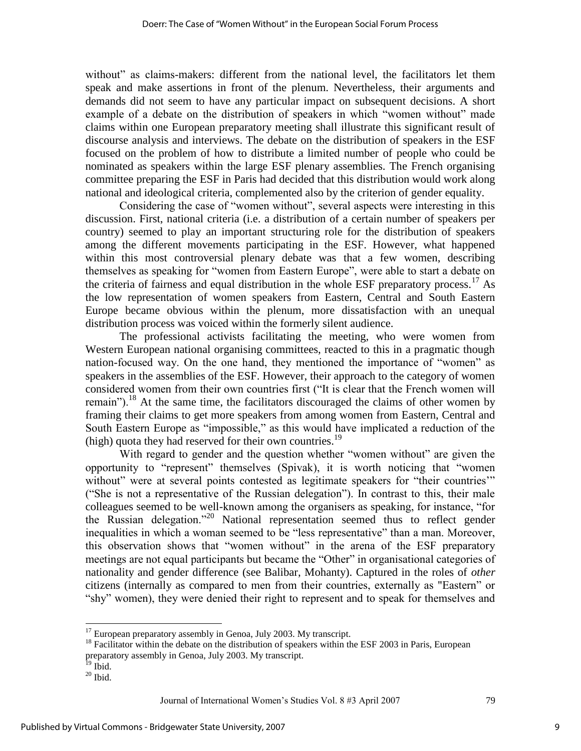without" as claims-makers: different from the national level, the facilitators let them speak and make assertions in front of the plenum. Nevertheless, their arguments and demands did not seem to have any particular impact on subsequent decisions. A short example of a debate on the distribution of speakers in which "women without" made claims within one European preparatory meeting shall illustrate this significant result of discourse analysis and interviews. The debate on the distribution of speakers in the ESF focused on the problem of how to distribute a limited number of people who could be nominated as speakers within the large ESF plenary assemblies. The French organising committee preparing the ESF in Paris had decided that this distribution would work along national and ideological criteria, complemented also by the criterion of gender equality.

Considering the case of "women without", several aspects were interesting in this discussion. First, national criteria (i.e. a distribution of a certain number of speakers per country) seemed to play an important structuring role for the distribution of speakers among the different movements participating in the ESF. However, what happened within this most controversial plenary debate was that a few women, describing themselves as speaking for "women from Eastern Europe", were able to start a debate on the criteria of fairness and equal distribution in the whole ESF preparatory process.<sup>17</sup> As the low representation of women speakers from Eastern, Central and South Eastern Europe became obvious within the plenum, more dissatisfaction with an unequal distribution process was voiced within the formerly silent audience.

The professional activists facilitating the meeting, who were women from Western European national organising committees, reacted to this in a pragmatic though nation-focused way. On the one hand, they mentioned the importance of "women" as speakers in the assemblies of the ESF. However, their approach to the category of women considered women from their own countries first ("It is clear that the French women will remain").<sup>18</sup> At the same time, the facilitators discouraged the claims of other women by framing their claims to get more speakers from among women from Eastern, Central and South Eastern Europe as "impossible," as this would have implicated a reduction of the (high) quota they had reserved for their own countries.<sup>19</sup>

With regard to gender and the question whether "women without" are given the opportunity to "represent" themselves (Spivak), it is worth noticing that "women without" were at several points contested as legitimate speakers for "their countries" (―She is not a representative of the Russian delegation‖). In contrast to this, their male colleagues seemed to be well-known among the organisers as speaking, for instance, "for the Russian delegation."<sup>20</sup> National representation seemed thus to reflect gender inequalities in which a woman seemed to be "less representative" than a man. Moreover, this observation shows that "women without" in the arena of the ESF preparatory meetings are not equal participants but became the "Other" in organisational categories of nationality and gender difference (see Balibar, Mohanty). Captured in the roles of *other* citizens (internally as compared to men from their countries, externally as "Eastern" or ―shy‖ women), they were denied their right to represent and to speak for themselves and

- $^{19}$  Ibid.
- $\rm ^{20}$  Ibid.

Journal of International Women's Studies Vol. 8 #3 April 2007 79

 $\overline{a}$  $17$  European preparatory assembly in Genoa, July 2003. My transcript.

 $18$  Facilitator within the debate on the distribution of speakers within the ESF 2003 in Paris, European preparatory assembly in Genoa, July 2003. My transcript.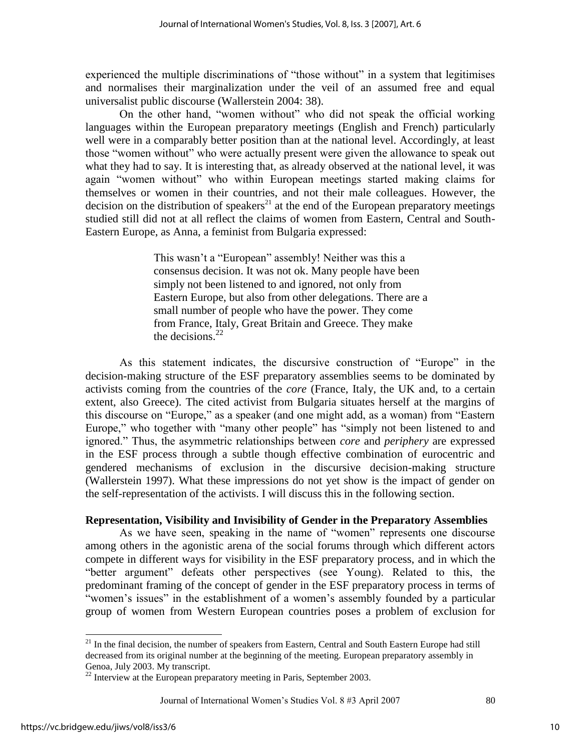experienced the multiple discriminations of "those without" in a system that legitimises and normalises their marginalization under the veil of an assumed free and equal universalist public discourse (Wallerstein 2004: 38).

On the other hand, "women without" who did not speak the official working languages within the European preparatory meetings (English and French) particularly well were in a comparably better position than at the national level. Accordingly, at least those "women without" who were actually present were given the allowance to speak out what they had to say. It is interesting that, as already observed at the national level, it was again "women without" who within European meetings started making claims for themselves or women in their countries, and not their male colleagues. However, the decision on the distribution of speakers<sup>21</sup> at the end of the European preparatory meetings studied still did not at all reflect the claims of women from Eastern, Central and South-Eastern Europe, as Anna, a feminist from Bulgaria expressed:

> This wasn't a "European" assembly! Neither was this a consensus decision. It was not ok. Many people have been simply not been listened to and ignored, not only from Eastern Europe, but also from other delegations. There are a small number of people who have the power. They come from France, Italy, Great Britain and Greece. They make the decisions  $^{22}$

As this statement indicates, the discursive construction of "Europe" in the decision-making structure of the ESF preparatory assemblies seems to be dominated by activists coming from the countries of the *core* (France, Italy, the UK and, to a certain extent, also Greece). The cited activist from Bulgaria situates herself at the margins of this discourse on "Europe," as a speaker (and one might add, as a woman) from "Eastern Europe," who together with "many other people" has "simply not been listened to and ignored.‖ Thus, the asymmetric relationships between *core* and *periphery* are expressed in the ESF process through a subtle though effective combination of eurocentric and gendered mechanisms of exclusion in the discursive decision-making structure (Wallerstein 1997). What these impressions do not yet show is the impact of gender on the self-representation of the activists. I will discuss this in the following section.

# **Representation, Visibility and Invisibility of Gender in the Preparatory Assemblies**

As we have seen, speaking in the name of "women" represents one discourse among others in the agonistic arena of the social forums through which different actors compete in different ways for visibility in the ESF preparatory process, and in which the ―better argument‖ defeats other perspectives (see Young). Related to this, the predominant framing of the concept of gender in the ESF preparatory process in terms of "women's issues" in the establishment of a women's assembly founded by a particular group of women from Western European countries poses a problem of exclusion for

 $21$  In the final decision, the number of speakers from Eastern, Central and South Eastern Europe had still decreased from its original number at the beginning of the meeting. European preparatory assembly in Genoa, July 2003. My transcript.

 $22$  Interview at the European preparatory meeting in Paris, September 2003.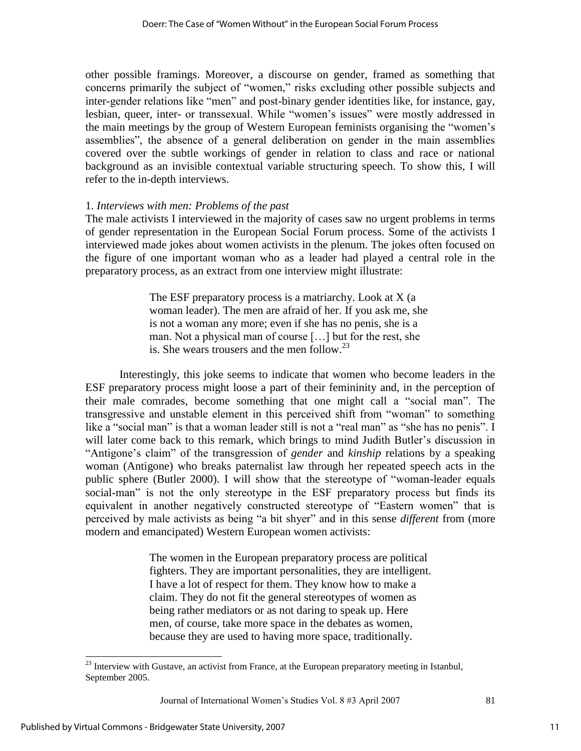other possible framings. Moreover, a discourse on gender, framed as something that concerns primarily the subject of "women," risks excluding other possible subjects and inter-gender relations like "men" and post-binary gender identities like, for instance, gay, lesbian, queer, inter- or transsexual. While "women's issues" were mostly addressed in the main meetings by the group of Western European feminists organising the "women's assemblies", the absence of a general deliberation on gender in the main assemblies covered over the subtle workings of gender in relation to class and race or national background as an invisible contextual variable structuring speech. To show this, I will refer to the in-depth interviews.

# 1. *Interviews with men: Problems of the past*

The male activists I interviewed in the majority of cases saw no urgent problems in terms of gender representation in the European Social Forum process. Some of the activists I interviewed made jokes about women activists in the plenum. The jokes often focused on the figure of one important woman who as a leader had played a central role in the preparatory process, as an extract from one interview might illustrate:

> The ESF preparatory process is a matriarchy. Look at X (a woman leader). The men are afraid of her. If you ask me, she is not a woman any more; even if she has no penis, she is a man. Not a physical man of course […] but for the rest, she is. She wears trousers and the men follow.<sup>23</sup>

Interestingly, this joke seems to indicate that women who become leaders in the ESF preparatory process might loose a part of their femininity and, in the perception of their male comrades, become something that one might call a "social man". The transgressive and unstable element in this perceived shift from "woman" to something like a "social man" is that a woman leader still is not a "real man" as "she has no penis". I will later come back to this remark, which brings to mind Judith Butler's discussion in ―Antigone's claim‖ of the transgression of *gender* and *kinship* relations by a speaking woman (Antigone) who breaks paternalist law through her repeated speech acts in the public sphere (Butler 2000). I will show that the stereotype of "woman-leader equals social-man" is not the only stereotype in the ESF preparatory process but finds its equivalent in another negatively constructed stereotype of "Eastern women" that is perceived by male activists as being "a bit shyer" and in this sense *different* from (more modern and emancipated) Western European women activists:

> The women in the European preparatory process are political fighters. They are important personalities, they are intelligent. I have a lot of respect for them. They know how to make a claim. They do not fit the general stereotypes of women as being rather mediators or as not daring to speak up. Here men, of course, take more space in the debates as women, because they are used to having more space, traditionally.

Journal of International Women's Studies Vol. 8 #3 April 2007 81

 $2<sup>23</sup>$  Interview with Gustave, an activist from France, at the European preparatory meeting in Istanbul, September 2005.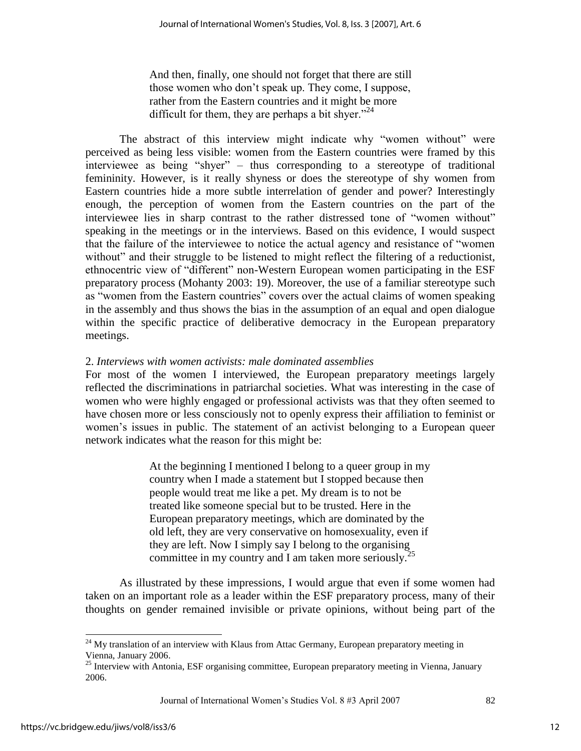And then, finally, one should not forget that there are still those women who don't speak up. They come, I suppose, rather from the Eastern countries and it might be more difficult for them, they are perhaps a bit shyer.<sup> $24$ </sup>

The abstract of this interview might indicate why "women without" were perceived as being less visible: women from the Eastern countries were framed by this interviewee as being "shyer" – thus corresponding to a stereotype of traditional femininity. However, is it really shyness or does the stereotype of shy women from Eastern countries hide a more subtle interrelation of gender and power? Interestingly enough, the perception of women from the Eastern countries on the part of the interviewee lies in sharp contrast to the rather distressed tone of "women without" speaking in the meetings or in the interviews. Based on this evidence, I would suspect that the failure of the interviewee to notice the actual agency and resistance of "women" without" and their struggle to be listened to might reflect the filtering of a reductionist, ethnocentric view of "different" non-Western European women participating in the ESF preparatory process (Mohanty 2003: 19). Moreover, the use of a familiar stereotype such as "women from the Eastern countries" covers over the actual claims of women speaking in the assembly and thus shows the bias in the assumption of an equal and open dialogue within the specific practice of deliberative democracy in the European preparatory meetings.

# 2. *Interviews with women activists: male dominated assemblies*

For most of the women I interviewed, the European preparatory meetings largely reflected the discriminations in patriarchal societies. What was interesting in the case of women who were highly engaged or professional activists was that they often seemed to have chosen more or less consciously not to openly express their affiliation to feminist or women's issues in public. The statement of an activist belonging to a European queer network indicates what the reason for this might be:

> At the beginning I mentioned I belong to a queer group in my country when I made a statement but I stopped because then people would treat me like a pet. My dream is to not be treated like someone special but to be trusted. Here in the European preparatory meetings, which are dominated by the old left, they are very conservative on homosexuality, even if they are left. Now I simply say I belong to the organising committee in my country and I am taken more seriously.<sup>2</sup>

As illustrated by these impressions, I would argue that even if some women had taken on an important role as a leader within the ESF preparatory process, many of their thoughts on gender remained invisible or private opinions, without being part of the

Journal of International Women's Studies Vol. 8 #3 April 2007 82

 $^{24}$  My translation of an interview with Klaus from Attac Germany, European preparatory meeting in Vienna, January 2006.

<sup>&</sup>lt;sup>25</sup> Interview with Antonia, ESF organising committee, European preparatory meeting in Vienna, January 2006.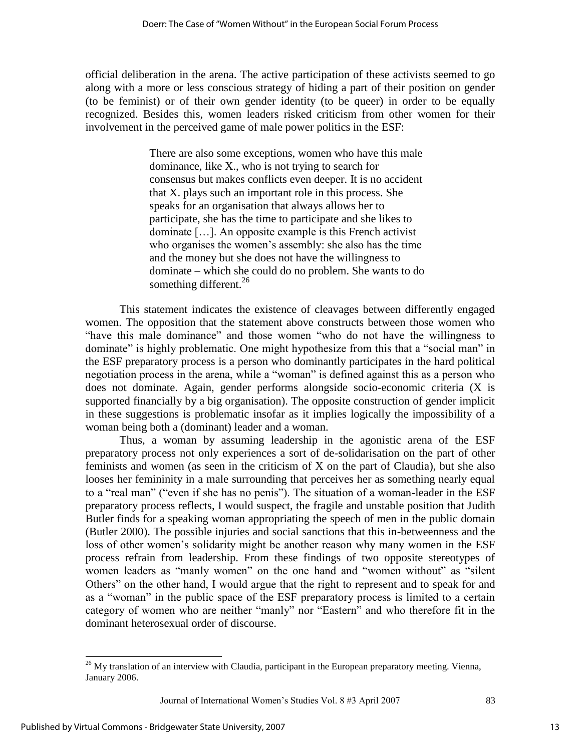official deliberation in the arena. The active participation of these activists seemed to go along with a more or less conscious strategy of hiding a part of their position on gender (to be feminist) or of their own gender identity (to be queer) in order to be equally recognized. Besides this, women leaders risked criticism from other women for their involvement in the perceived game of male power politics in the ESF:

> There are also some exceptions, women who have this male dominance, like X., who is not trying to search for consensus but makes conflicts even deeper. It is no accident that X. plays such an important role in this process. She speaks for an organisation that always allows her to participate, she has the time to participate and she likes to dominate […]. An opposite example is this French activist who organises the women's assembly: she also has the time and the money but she does not have the willingness to dominate – which she could do no problem. She wants to do something different.<sup>26</sup>

This statement indicates the existence of cleavages between differently engaged women. The opposition that the statement above constructs between those women who "have this male dominance" and those women "who do not have the willingness to dominate" is highly problematic. One might hypothesize from this that a "social man" in the ESF preparatory process is a person who dominantly participates in the hard political negotiation process in the arena, while a "woman" is defined against this as a person who does not dominate. Again, gender performs alongside socio-economic criteria (X is supported financially by a big organisation). The opposite construction of gender implicit in these suggestions is problematic insofar as it implies logically the impossibility of a woman being both a (dominant) leader and a woman.

Thus, a woman by assuming leadership in the agonistic arena of the ESF preparatory process not only experiences a sort of de-solidarisation on the part of other feminists and women (as seen in the criticism of X on the part of Claudia), but she also looses her femininity in a male surrounding that perceives her as something nearly equal to a "real man" ("even if she has no penis"). The situation of a woman-leader in the ESF preparatory process reflects, I would suspect, the fragile and unstable position that Judith Butler finds for a speaking woman appropriating the speech of men in the public domain (Butler 2000). The possible injuries and social sanctions that this in-betweenness and the loss of other women's solidarity might be another reason why many women in the ESF process refrain from leadership. From these findings of two opposite stereotypes of women leaders as "manly women" on the one hand and "women without" as "silent Others" on the other hand, I would argue that the right to represent and to speak for and as a "woman" in the public space of the ESF preparatory process is limited to a certain category of women who are neither "manly" nor "Eastern" and who therefore fit in the dominant heterosexual order of discourse.

 $\overline{a}$  $26$  My translation of an interview with Claudia, participant in the European preparatory meeting. Vienna, January 2006.

Journal of International Women's Studies Vol. 8 #3 April 2007 83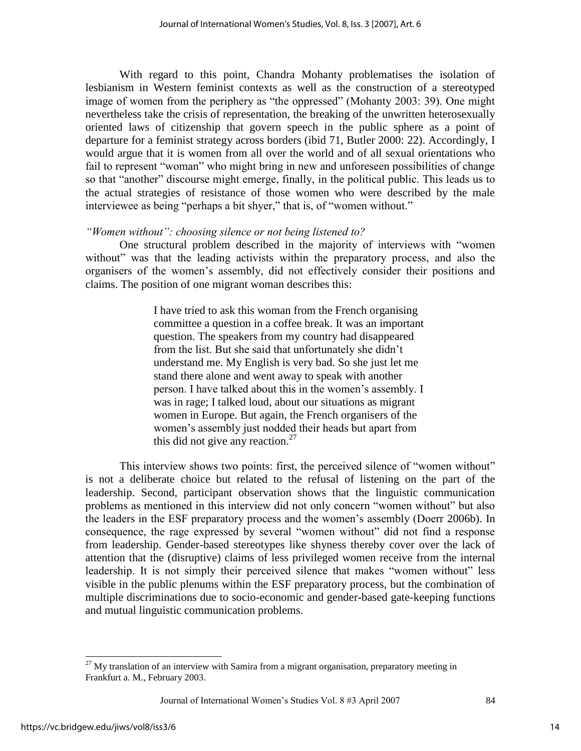With regard to this point, Chandra Mohanty problematises the isolation of lesbianism in Western feminist contexts as well as the construction of a stereotyped image of women from the periphery as "the oppressed" (Mohanty 2003: 39). One might nevertheless take the crisis of representation, the breaking of the unwritten heterosexually oriented laws of citizenship that govern speech in the public sphere as a point of departure for a feminist strategy across borders (ibid 71, Butler 2000: 22). Accordingly, I would argue that it is women from all over the world and of all sexual orientations who fail to represent "woman" who might bring in new and unforeseen possibilities of change so that "another" discourse might emerge, finally, in the political public. This leads us to the actual strategies of resistance of those women who were described by the male interviewee as being "perhaps a bit shyer," that is, of "women without."

# *"Women without": choosing silence or not being listened to?*

One structural problem described in the majority of interviews with "women" without" was that the leading activists within the preparatory process, and also the organisers of the women's assembly, did not effectively consider their positions and claims. The position of one migrant woman describes this:

> I have tried to ask this woman from the French organising committee a question in a coffee break. It was an important question. The speakers from my country had disappeared from the list. But she said that unfortunately she didn't understand me. My English is very bad. So she just let me stand there alone and went away to speak with another person. I have talked about this in the women's assembly. I was in rage; I talked loud, about our situations as migrant women in Europe. But again, the French organisers of the women's assembly just nodded their heads but apart from this did not give any reaction. $27$

This interview shows two points: first, the perceived silence of "women without" is not a deliberate choice but related to the refusal of listening on the part of the leadership. Second, participant observation shows that the linguistic communication problems as mentioned in this interview did not only concern "women without" but also the leaders in the ESF preparatory process and the women's assembly (Doerr 2006b). In consequence, the rage expressed by several "women without" did not find a response from leadership. Gender-based stereotypes like shyness thereby cover over the lack of attention that the (disruptive) claims of less privileged women receive from the internal leadership. It is not simply their perceived silence that makes "women without" less visible in the public plenums within the ESF preparatory process, but the combination of multiple discriminations due to socio-economic and gender-based gate-keeping functions and mutual linguistic communication problems.

Journal of International Women's Studies Vol. 8 #3 April 2007 84

 $\overline{a}$  $27$  My translation of an interview with Samira from a migrant organisation, preparatory meeting in Frankfurt a. M., February 2003.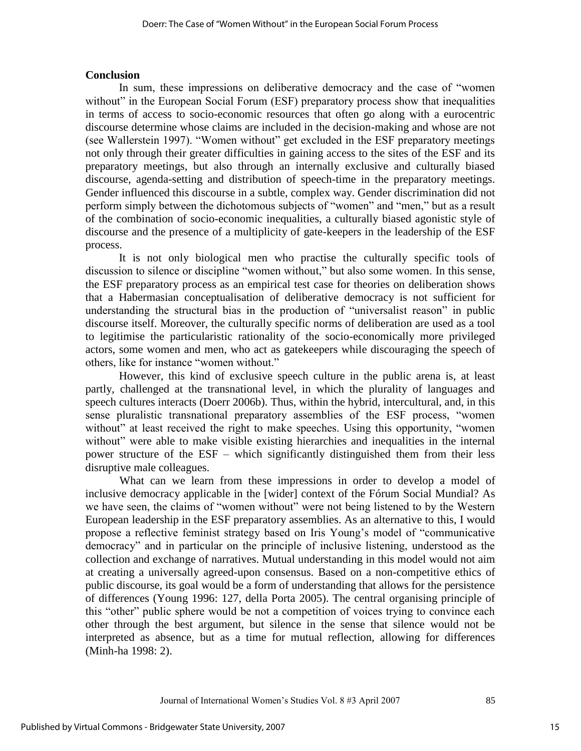#### **Conclusion**

In sum, these impressions on deliberative democracy and the case of "women" without" in the European Social Forum (ESF) preparatory process show that inequalities in terms of access to socio-economic resources that often go along with a eurocentric discourse determine whose claims are included in the decision-making and whose are not (see Wallerstein 1997). "Women without" get excluded in the ESF preparatory meetings not only through their greater difficulties in gaining access to the sites of the ESF and its preparatory meetings, but also through an internally exclusive and culturally biased discourse, agenda-setting and distribution of speech-time in the preparatory meetings. Gender influenced this discourse in a subtle, complex way. Gender discrimination did not perform simply between the dichotomous subjects of "women" and "men," but as a result of the combination of socio-economic inequalities, a culturally biased agonistic style of discourse and the presence of a multiplicity of gate-keepers in the leadership of the ESF process.

It is not only biological men who practise the culturally specific tools of discussion to silence or discipline "women without," but also some women. In this sense, the ESF preparatory process as an empirical test case for theories on deliberation shows that a Habermasian conceptualisation of deliberative democracy is not sufficient for understanding the structural bias in the production of "universalist reason" in public discourse itself. Moreover, the culturally specific norms of deliberation are used as a tool to legitimise the particularistic rationality of the socio-economically more privileged actors, some women and men, who act as gatekeepers while discouraging the speech of others, like for instance "women without."

However, this kind of exclusive speech culture in the public arena is, at least partly, challenged at the transnational level, in which the plurality of languages and speech cultures interacts (Doerr 2006b). Thus, within the hybrid, intercultural, and, in this sense pluralistic transnational preparatory assemblies of the ESF process, "women without" at least received the right to make speeches. Using this opportunity, "women without" were able to make visible existing hierarchies and inequalities in the internal power structure of the ESF – which significantly distinguished them from their less disruptive male colleagues.

What can we learn from these impressions in order to develop a model of inclusive democracy applicable in the [wider] context of the Fórum Social Mundial? As we have seen, the claims of "women without" were not being listened to by the Western European leadership in the ESF preparatory assemblies. As an alternative to this, I would propose a reflective feminist strategy based on Iris Young's model of "communicative" democracy" and in particular on the principle of inclusive listening, understood as the collection and exchange of narratives. Mutual understanding in this model would not aim at creating a universally agreed-upon consensus. Based on a non-competitive ethics of public discourse, its goal would be a form of understanding that allows for the persistence of differences (Young 1996: 127, della Porta 2005). The central organising principle of this "other" public sphere would be not a competition of voices trying to convince each other through the best argument, but silence in the sense that silence would not be interpreted as absence, but as a time for mutual reflection, allowing for differences (Minh-ha 1998: 2).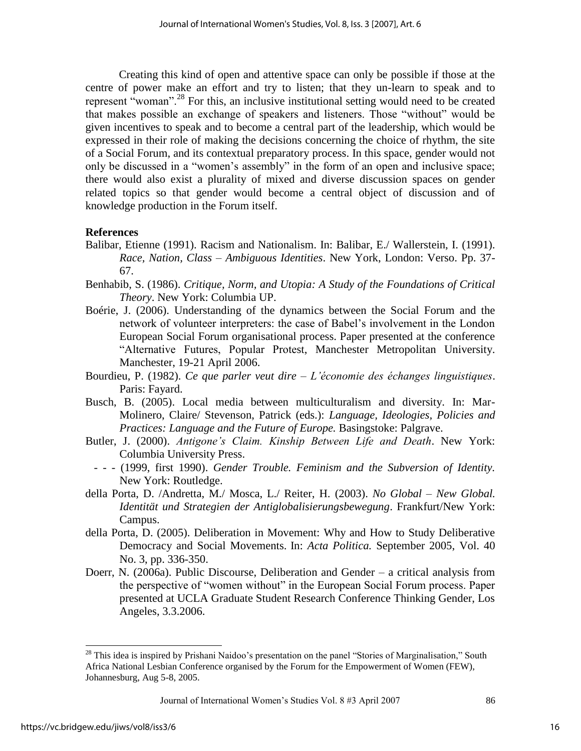Creating this kind of open and attentive space can only be possible if those at the centre of power make an effort and try to listen; that they un-learn to speak and to represent "woman".<sup>28</sup> For this, an inclusive institutional setting would need to be created that makes possible an exchange of speakers and listeners. Those "without" would be given incentives to speak and to become a central part of the leadership, which would be expressed in their role of making the decisions concerning the choice of rhythm, the site of a Social Forum, and its contextual preparatory process. In this space, gender would not only be discussed in a "women's assembly" in the form of an open and inclusive space; there would also exist a plurality of mixed and diverse discussion spaces on gender related topics so that gender would become a central object of discussion and of knowledge production in the Forum itself.

# **References**

- Balibar, Etienne (1991). Racism and Nationalism. In: Balibar, E./ Wallerstein, I. (1991). *Race, Nation, Class – Ambiguous Identities*. New York, London: Verso. Pp. 37- 67.
- Benhabib, S. (1986). *Critique, Norm, and Utopia: A Study of the Foundations of Critical Theory*. New York: Columbia UP.
- Boérie, J. (2006). Understanding of the dynamics between the Social Forum and the network of volunteer interpreters: the case of Babel's involvement in the London European Social Forum organisational process. Paper presented at the conference ―Alternative Futures, Popular Protest, Manchester Metropolitan University. Manchester, 19-21 April 2006.
- Bourdieu, P. (1982). *Ce que parler veut dire – L'économie des échanges linguistiques*. Paris: Fayard.
- Busch, B. (2005). Local media between multiculturalism and diversity. In: Mar-Molinero, Claire/ Stevenson, Patrick (eds.): *Language, Ideologies, Policies and Practices: Language and the Future of Europe.* Basingstoke: Palgrave.
- Butler, J. (2000). *Antigone's Claim. Kinship Between Life and Death*. New York: Columbia University Press.
	- - (1999, first 1990). *Gender Trouble. Feminism and the Subversion of Identity.*  New York: Routledge.
- della Porta, D. /Andretta, M./ Mosca, L./ Reiter, H. (2003). *No Global New Global. Identität und Strategien der Antiglobalisierungsbewegung*. Frankfurt/New York: Campus.
- della Porta, D. (2005). Deliberation in Movement: Why and How to Study Deliberative Democracy and Social Movements. In: *Acta Politica.* September 2005, Vol. 40 No. 3, pp. 336-350.
- Doerr, N. (2006a). Public Discourse, Deliberation and Gender a critical analysis from the perspective of "women without" in the European Social Forum process. Paper presented at UCLA Graduate Student Research Conference Thinking Gender, Los Angeles, 3.3.2006.

Journal of International Women's Studies Vol. 8 #3 April 2007 86

l

 $28$  This idea is inspired by Prishani Naidoo's presentation on the panel "Stories of Marginalisation," South Africa National Lesbian Conference organised by the Forum for the Empowerment of Women (FEW), Johannesburg, Aug 5-8, 2005.